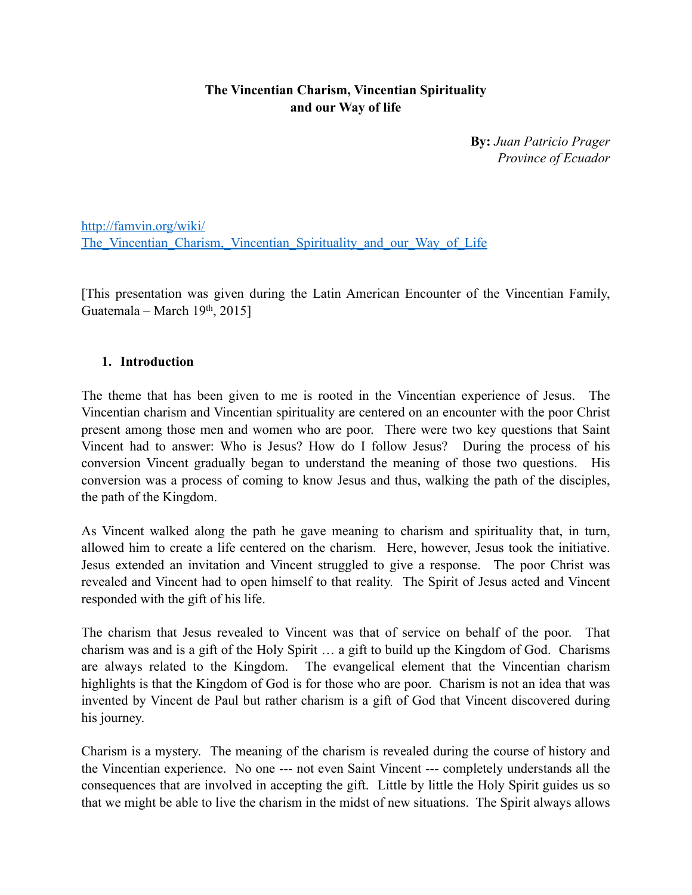### **The Vincentian Charism, Vincentian Spirituality and our Way of life**

**By:** *Juan Patricio Prager Province of Ecuador*

http://famvin.org/wiki/ The Vincentian Charism, Vincentian Spirituality and our Way of Life

[This presentation was given during the Latin American Encounter of the Vincentian Family, Guatemala – March  $19<sup>th</sup>$ , 2015]

#### **1. Introduction**

The theme that has been given to me is rooted in the Vincentian experience of Jesus. The Vincentian charism and Vincentian spirituality are centered on an encounter with the poor Christ present among those men and women who are poor. There were two key questions that Saint Vincent had to answer: Who is Jesus? How do I follow Jesus? During the process of his conversion Vincent gradually began to understand the meaning of those two questions. His conversion was a process of coming to know Jesus and thus, walking the path of the disciples, the path of the Kingdom.

As Vincent walked along the path he gave meaning to charism and spirituality that, in turn, allowed him to create a life centered on the charism. Here, however, Jesus took the initiative. Jesus extended an invitation and Vincent struggled to give a response. The poor Christ was revealed and Vincent had to open himself to that reality. The Spirit of Jesus acted and Vincent responded with the gift of his life.

The charism that Jesus revealed to Vincent was that of service on behalf of the poor. That charism was and is a gift of the Holy Spirit … a gift to build up the Kingdom of God. Charisms are always related to the Kingdom. The evangelical element that the Vincentian charism highlights is that the Kingdom of God is for those who are poor. Charism is not an idea that was invented by Vincent de Paul but rather charism is a gift of God that Vincent discovered during his journey.

Charism is a mystery. The meaning of the charism is revealed during the course of history and the Vincentian experience. No one --- not even Saint Vincent --- completely understands all the consequences that are involved in accepting the gift. Little by little the Holy Spirit guides us so that we might be able to live the charism in the midst of new situations. The Spirit always allows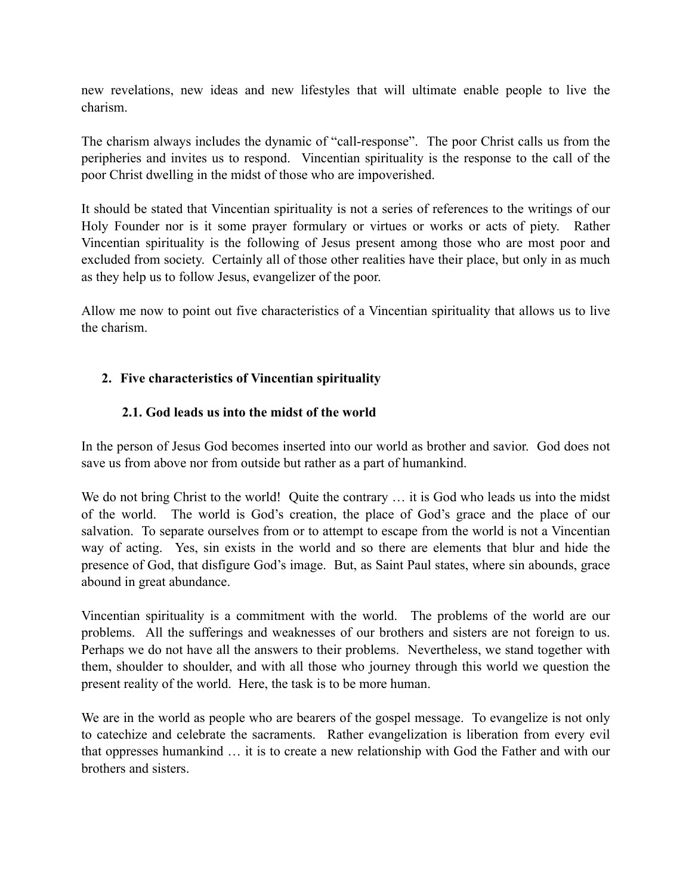new revelations, new ideas and new lifestyles that will ultimate enable people to live the charism.

The charism always includes the dynamic of "call-response". The poor Christ calls us from the peripheries and invites us to respond. Vincentian spirituality is the response to the call of the poor Christ dwelling in the midst of those who are impoverished.

It should be stated that Vincentian spirituality is not a series of references to the writings of our Holy Founder nor is it some prayer formulary or virtues or works or acts of piety. Rather Vincentian spirituality is the following of Jesus present among those who are most poor and excluded from society. Certainly all of those other realities have their place, but only in as much as they help us to follow Jesus, evangelizer of the poor.

Allow me now to point out five characteristics of a Vincentian spirituality that allows us to live the charism.

## **2. Five characteristics of Vincentian spirituality**

## **2.1. God leads us into the midst of the world**

In the person of Jesus God becomes inserted into our world as brother and savior. God does not save us from above nor from outside but rather as a part of humankind.

We do not bring Christ to the world! Quite the contrary ... it is God who leads us into the midst of the world. The world is God's creation, the place of God's grace and the place of our salvation. To separate ourselves from or to attempt to escape from the world is not a Vincentian way of acting. Yes, sin exists in the world and so there are elements that blur and hide the presence of God, that disfigure God's image. But, as Saint Paul states, where sin abounds, grace abound in great abundance.

Vincentian spirituality is a commitment with the world. The problems of the world are our problems. All the sufferings and weaknesses of our brothers and sisters are not foreign to us. Perhaps we do not have all the answers to their problems. Nevertheless, we stand together with them, shoulder to shoulder, and with all those who journey through this world we question the present reality of the world. Here, the task is to be more human.

We are in the world as people who are bearers of the gospel message. To evangelize is not only to catechize and celebrate the sacraments. Rather evangelization is liberation from every evil that oppresses humankind … it is to create a new relationship with God the Father and with our brothers and sisters.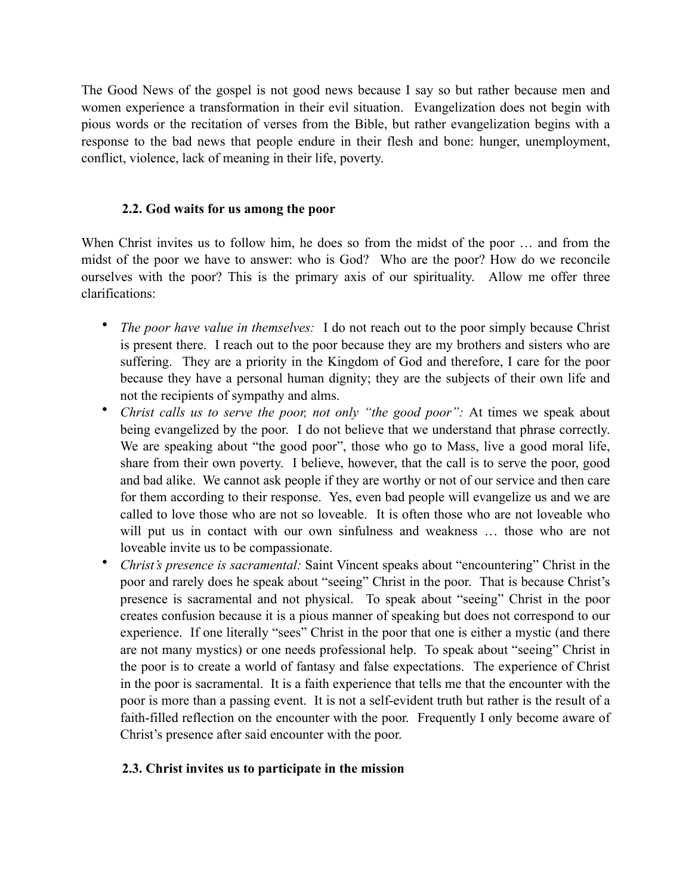The Good News of the gospel is not good news because I say so but rather because men and women experience a transformation in their evil situation. Evangelization does not begin with pious words or the recitation of verses from the Bible, but rather evangelization begins with a response to the bad news that people endure in their flesh and bone: hunger, unemployment, conflict, violence, lack of meaning in their life, poverty.

### **2.2. God waits for us among the poor**

When Christ invites us to follow him, he does so from the midst of the poor … and from the midst of the poor we have to answer: who is God? Who are the poor? How do we reconcile ourselves with the poor? This is the primary axis of our spirituality. Allow me offer three clarifications:

- *The poor have value in themselves:* I do not reach out to the poor simply because Christ is present there. I reach out to the poor because they are my brothers and sisters who are suffering. They are a priority in the Kingdom of God and therefore, I care for the poor because they have a personal human dignity; they are the subjects of their own life and not the recipients of sympathy and alms.
- *Christ calls us to serve the poor, not only "the good poor":* At times we speak about being evangelized by the poor. I do not believe that we understand that phrase correctly. We are speaking about "the good poor", those who go to Mass, live a good moral life, share from their own poverty. I believe, however, that the call is to serve the poor, good and bad alike. We cannot ask people if they are worthy or not of our service and then care for them according to their response. Yes, even bad people will evangelize us and we are called to love those who are not so loveable. It is often those who are not loveable who will put us in contact with our own sinfulness and weakness ... those who are not loveable invite us to be compassionate.
- *Christ's presence is sacramental:* Saint Vincent speaks about "encountering" Christ in the poor and rarely does he speak about "seeing" Christ in the poor. That is because Christ's presence is sacramental and not physical. To speak about "seeing" Christ in the poor creates confusion because it is a pious manner of speaking but does not correspond to our experience. If one literally "sees" Christ in the poor that one is either a mystic (and there are not many mystics) or one needs professional help. To speak about "seeing" Christ in the poor is to create a world of fantasy and false expectations. The experience of Christ in the poor is sacramental. It is a faith experience that tells me that the encounter with the poor is more than a passing event. It is not a self-evident truth but rather is the result of a faith-filled reflection on the encounter with the poor. Frequently I only become aware of Christ's presence after said encounter with the poor.

# **2.3. Christ invites us to participate in the mission**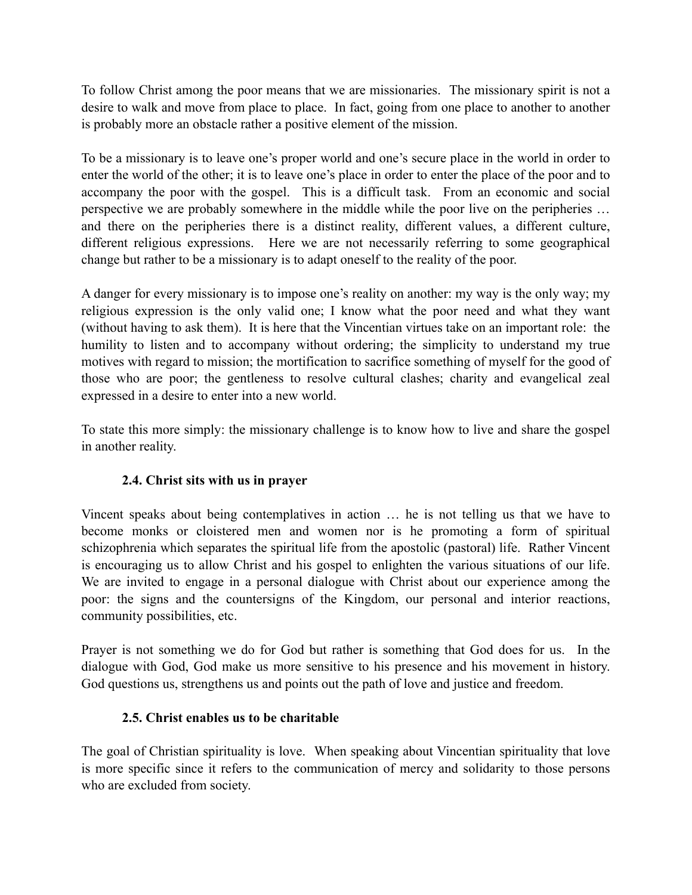To follow Christ among the poor means that we are missionaries. The missionary spirit is not a desire to walk and move from place to place. In fact, going from one place to another to another is probably more an obstacle rather a positive element of the mission.

To be a missionary is to leave one's proper world and one's secure place in the world in order to enter the world of the other; it is to leave one's place in order to enter the place of the poor and to accompany the poor with the gospel. This is a difficult task. From an economic and social perspective we are probably somewhere in the middle while the poor live on the peripheries … and there on the peripheries there is a distinct reality, different values, a different culture, different religious expressions. Here we are not necessarily referring to some geographical change but rather to be a missionary is to adapt oneself to the reality of the poor.

A danger for every missionary is to impose one's reality on another: my way is the only way; my religious expression is the only valid one; I know what the poor need and what they want (without having to ask them). It is here that the Vincentian virtues take on an important role: the humility to listen and to accompany without ordering; the simplicity to understand my true motives with regard to mission; the mortification to sacrifice something of myself for the good of those who are poor; the gentleness to resolve cultural clashes; charity and evangelical zeal expressed in a desire to enter into a new world.

To state this more simply: the missionary challenge is to know how to live and share the gospel in another reality.

### **2.4. Christ sits with us in prayer**

Vincent speaks about being contemplatives in action … he is not telling us that we have to become monks or cloistered men and women nor is he promoting a form of spiritual schizophrenia which separates the spiritual life from the apostolic (pastoral) life. Rather Vincent is encouraging us to allow Christ and his gospel to enlighten the various situations of our life. We are invited to engage in a personal dialogue with Christ about our experience among the poor: the signs and the countersigns of the Kingdom, our personal and interior reactions, community possibilities, etc.

Prayer is not something we do for God but rather is something that God does for us. In the dialogue with God, God make us more sensitive to his presence and his movement in history. God questions us, strengthens us and points out the path of love and justice and freedom.

### **2.5. Christ enables us to be charitable**

The goal of Christian spirituality is love. When speaking about Vincentian spirituality that love is more specific since it refers to the communication of mercy and solidarity to those persons who are excluded from society.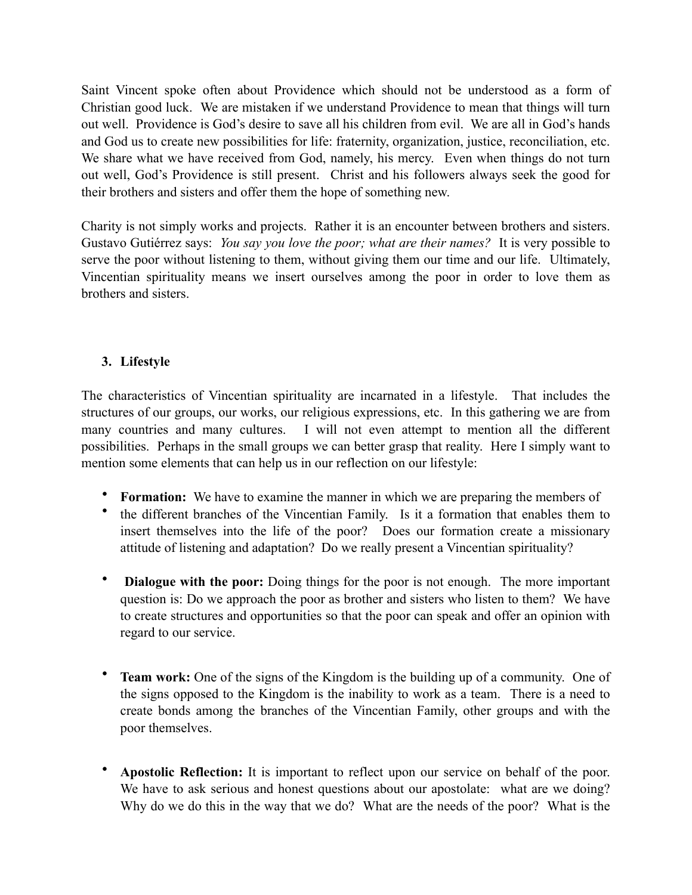Saint Vincent spoke often about Providence which should not be understood as a form of Christian good luck. We are mistaken if we understand Providence to mean that things will turn out well. Providence is God's desire to save all his children from evil. We are all in God's hands and God us to create new possibilities for life: fraternity, organization, justice, reconciliation, etc. We share what we have received from God, namely, his mercy. Even when things do not turn out well, God's Providence is still present. Christ and his followers always seek the good for their brothers and sisters and offer them the hope of something new.

Charity is not simply works and projects. Rather it is an encounter between brothers and sisters. Gustavo Gutiérrez says: *You say you love the poor; what are their names?* It is very possible to serve the poor without listening to them, without giving them our time and our life. Ultimately, Vincentian spirituality means we insert ourselves among the poor in order to love them as brothers and sisters.

## **3. Lifestyle**

The characteristics of Vincentian spirituality are incarnated in a lifestyle. That includes the structures of our groups, our works, our religious expressions, etc. In this gathering we are from many countries and many cultures. I will not even attempt to mention all the different possibilities. Perhaps in the small groups we can better grasp that reality. Here I simply want to mention some elements that can help us in our reflection on our lifestyle:

- **Formation:** We have to examine the manner in which we are preparing the members of
- the different branches of the Vincentian Family. Is it a formation that enables them to insert themselves into the life of the poor? Does our formation create a missionary attitude of listening and adaptation? Do we really present a Vincentian spirituality?
- **Dialogue with the poor:** Doing things for the poor is not enough. The more important question is: Do we approach the poor as brother and sisters who listen to them? We have to create structures and opportunities so that the poor can speak and offer an opinion with regard to our service.
- **Team work:** One of the signs of the Kingdom is the building up of a community. One of the signs opposed to the Kingdom is the inability to work as a team. There is a need to create bonds among the branches of the Vincentian Family, other groups and with the poor themselves.
- **Apostolic Reflection:** It is important to reflect upon our service on behalf of the poor. We have to ask serious and honest questions about our apostolate: what are we doing? Why do we do this in the way that we do? What are the needs of the poor? What is the